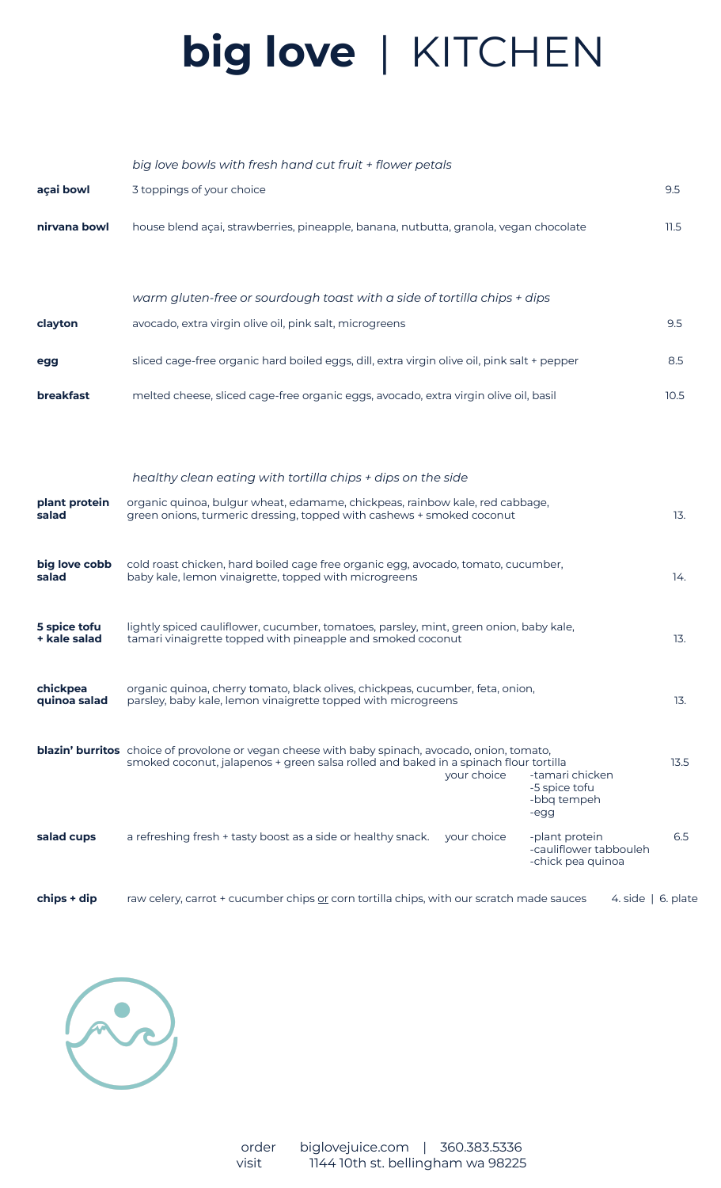## **big love** | KITCHEN

|                              | big love bowls with fresh hand cut fruit + flower petals                                                                                                                                                                                                                 |                          |
|------------------------------|--------------------------------------------------------------------------------------------------------------------------------------------------------------------------------------------------------------------------------------------------------------------------|--------------------------|
| açai bowl                    | 3 toppings of your choice                                                                                                                                                                                                                                                | 9.5                      |
| nirvana bowl                 | house blend açai, strawberries, pineapple, banana, nutbutta, granola, vegan chocolate                                                                                                                                                                                    | 11.5                     |
|                              | warm gluten-free or sourdough toast with a side of tortilla chips + dips                                                                                                                                                                                                 |                          |
| clayton                      | avocado, extra virgin olive oil, pink salt, microgreens                                                                                                                                                                                                                  | 9.5                      |
| egg                          | sliced cage-free organic hard boiled eggs, dill, extra virgin olive oil, pink salt + pepper                                                                                                                                                                              | 8.5                      |
| <b>breakfast</b>             | melted cheese, sliced cage-free organic eggs, avocado, extra virgin olive oil, basil                                                                                                                                                                                     | 10.5                     |
|                              |                                                                                                                                                                                                                                                                          |                          |
|                              | healthy clean eating with tortilla chips + dips on the side                                                                                                                                                                                                              |                          |
| plant protein<br>salad       | organic quinoa, bulgur wheat, edamame, chickpeas, rainbow kale, red cabbage,<br>green onions, turmeric dressing, topped with cashews + smoked coconut                                                                                                                    | 13.                      |
| big love cobb<br>salad       | cold roast chicken, hard boiled cage free organic egg, avocado, tomato, cucumber,<br>baby kale, lemon vinaigrette, topped with microgreens                                                                                                                               | 14.                      |
| 5 spice tofu<br>+ kale salad | lightly spiced cauliflower, cucumber, tomatoes, parsley, mint, green onion, baby kale,<br>tamari vinaigrette topped with pineapple and smoked coconut                                                                                                                    | 13.                      |
| chickpea<br>quinoa salad     | organic quinoa, cherry tomato, black olives, chickpeas, cucumber, feta, onion,<br>parsley, baby kale, lemon vinaigrette topped with microgreens                                                                                                                          | 13.                      |
|                              | <b>blazin' burritos</b> choice of provolone or vegan cheese with baby spinach, avocado, onion, tomato,<br>smoked coconut, jalapenos + green salsa rolled and baked in a spinach flour tortilla<br>your choice<br>-tamari chicken<br>-5 spice tofu<br>-bbq tempeh<br>-egg | 13.5                     |
| salad cups                   | a refreshing fresh + tasty boost as a side or healthy snack.<br>your choice<br>-plant protein<br>-cauliflower tabbouleh<br>-chick pea quinoa                                                                                                                             | 6.5                      |
| chips + dip                  | raw celery, carrot + cucumber chips or corn tortilla chips, with our scratch made sauces                                                                                                                                                                                 | 4. side $\vert$ 6. plate |